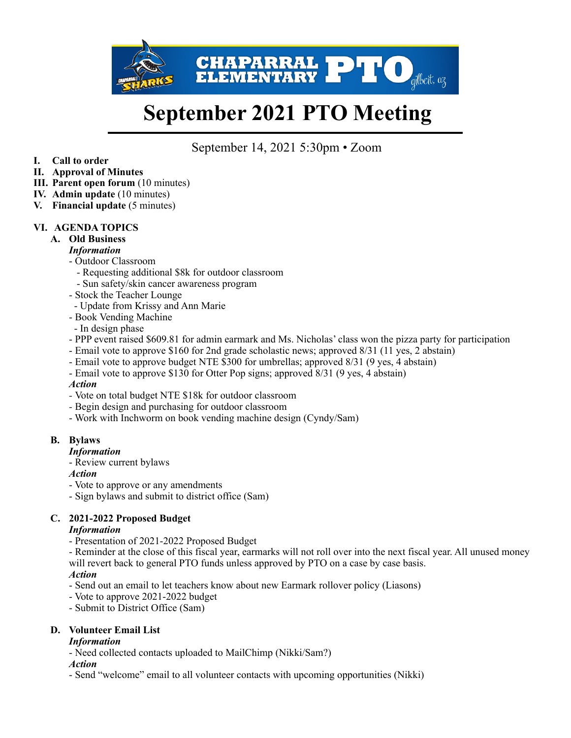

# **September 2021 PTO Meeting**

September 14, 2021 5:30pm • Zoom

- **I. Call to order**
- **II. Approval of Minutes**
- **III. Parent open forum** (10 minutes)
- **IV. Admin update** (10 minutes)
- **V. Financial update** (5 minutes)

# **VI. AGENDA TOPICS**

**A. Old Business** 

#### *Information*

- Outdoor Classroom
	- Requesting additional \$8k for outdoor classroom
	- Sun safety/skin cancer awareness program
- Stock the Teacher Lounge
- Update from Krissy and Ann Marie
- Book Vending Machine
- In design phase
- PPP event raised \$609.81 for admin earmark and Ms. Nicholas' class won the pizza party for participation
- Email vote to approve \$160 for 2nd grade scholastic news; approved 8/31 (11 yes, 2 abstain)
- Email vote to approve budget NTE \$300 for umbrellas; approved 8/31 (9 yes, 4 abstain)
- Email vote to approve \$130 for Otter Pop signs; approved 8/31 (9 yes, 4 abstain)

#### *Action*

- Vote on total budget NTE \$18k for outdoor classroom
- Begin design and purchasing for outdoor classroom
- Work with Inchworm on book vending machine design (Cyndy/Sam)

# **B. Bylaws**

#### *Information*

- Review current bylaws
- *Action*
- Vote to approve or any amendments
- Sign bylaws and submit to district office (Sam)

# **C. 2021-2022 Proposed Budget**

#### *Information*

- Presentation of 2021-2022 Proposed Budget

- Reminder at the close of this fiscal year, earmarks will not roll over into the next fiscal year. All unused money will revert back to general PTO funds unless approved by PTO on a case by case basis.

#### *Action*

- Send out an email to let teachers know about new Earmark rollover policy (Liasons)

- Vote to approve 2021-2022 budget
- Submit to District Office (Sam)

# **D. Volunteer Email List**

#### *Information*

- Need collected contacts uploaded to MailChimp (Nikki/Sam?)

#### *Action*

- Send "welcome" email to all volunteer contacts with upcoming opportunities (Nikki)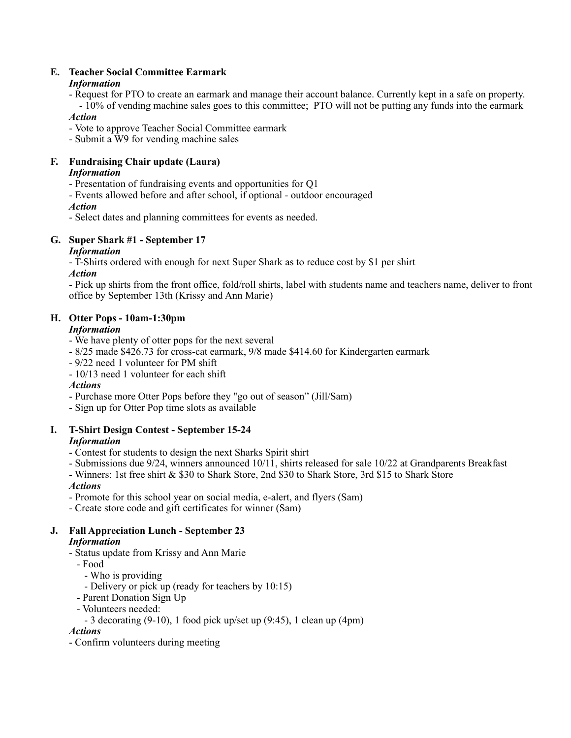# **E. Teacher Social Committee Earmark**

# *Information*

- Request for PTO to create an earmark and manage their account balance. Currently kept in a safe on property. - 10% of vending machine sales goes to this committee; PTO will not be putting any funds into the earmark

# *Action*

- Vote to approve Teacher Social Committee earmark
- Submit a W9 for vending machine sales

# **F. Fundraising Chair update (Laura)**

# *Information*

- Presentation of fundraising events and opportunities for Q1
- Events allowed before and after school, if optional outdoor encouraged

# *Action*

- Select dates and planning committees for events as needed.

# **G. Super Shark #1 - September 17**

# *Information*

- T-Shirts ordered with enough for next Super Shark as to reduce cost by \$1 per shirt

# *Action*

- Pick up shirts from the front office, fold/roll shirts, label with students name and teachers name, deliver to front office by September 13th (Krissy and Ann Marie)

# **H. Otter Pops - 10am-1:30pm**

# *Information*

- We have plenty of otter pops for the next several
- 8/25 made \$426.73 for cross-cat earmark, 9/8 made \$414.60 for Kindergarten earmark
- 9/22 need 1 volunteer for PM shift
- 10/13 need 1 volunteer for each shift

# *Actions*

- Purchase more Otter Pops before they "go out of season" (Jill/Sam)
- Sign up for Otter Pop time slots as available

# **I. T-Shirt Design Contest - September 15-24**

# *Information*

- Contest for students to design the next Sharks Spirit shirt
- Submissions due 9/24, winners announced 10/11, shirts released for sale 10/22 at Grandparents Breakfast
- Winners: 1st free shirt & \$30 to Shark Store, 2nd \$30 to Shark Store, 3rd \$15 to Shark Store

# *Actions*

- Promote for this school year on social media, e-alert, and flyers (Sam)
- Create store code and gift certificates for winner (Sam)

#### **J. Fall Appreciation Lunch - September 23**  *Information*

- Status update from Krissy and Ann Marie
- Food
	- Who is providing
	- Delivery or pick up (ready for teachers by 10:15)
- Parent Donation Sign Up
- Volunteers needed:
	- 3 decorating (9-10), 1 food pick up/set up (9:45), 1 clean up (4pm)

# *Actions*

- Confirm volunteers during meeting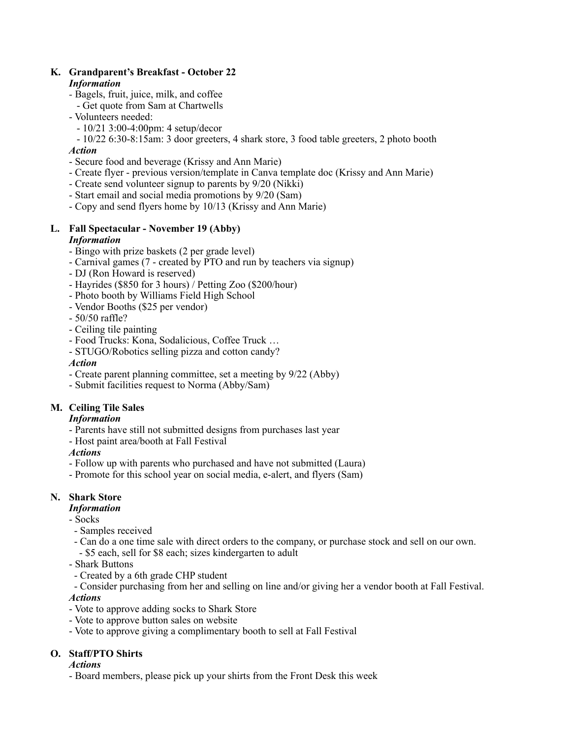#### **K. Grandparent's Breakfast - October 22**  *Information*

- Bagels, fruit, juice, milk, and coffee
- Get quote from Sam at Chartwells
- Volunteers needed:
	- 10/21 3:00-4:00pm: 4 setup/decor
- 10/22 6:30-8:15am: 3 door greeters, 4 shark store, 3 food table greeters, 2 photo booth *Action*
- Secure food and beverage (Krissy and Ann Marie)
- Create flyer previous version/template in Canva template doc (Krissy and Ann Marie)
- Create send volunteer signup to parents by 9/20 (Nikki)
- Start email and social media promotions by 9/20 (Sam)
- Copy and send flyers home by 10/13 (Krissy and Ann Marie)

#### **L. Fall Spectacular - November 19 (Abby)**  *Information*

- Bingo with prize baskets (2 per grade level)
- Carnival games (7 created by PTO and run by teachers via signup)
- DJ (Ron Howard is reserved)
- Hayrides (\$850 for 3 hours) / Petting Zoo (\$200/hour)
- Photo booth by Williams Field High School
- Vendor Booths (\$25 per vendor)
- 50/50 raffle?
- Ceiling tile painting
- Food Trucks: Kona, Sodalicious, Coffee Truck …
- STUGO/Robotics selling pizza and cotton candy?

#### *Action*

- Create parent planning committee, set a meeting by 9/22 (Abby)
- Submit facilities request to Norma (Abby/Sam)

# **M. Ceiling Tile Sales**

#### *Information*

- Parents have still not submitted designs from purchases last year
- Host paint area/booth at Fall Festival

#### *Actions*

- Follow up with parents who purchased and have not submitted (Laura)
- Promote for this school year on social media, e-alert, and flyers (Sam)

# **N. Shark Store**

#### *Information*

- Socks

- Samples received
- Can do a one time sale with direct orders to the company, or purchase stock and sell on our own. - \$5 each, sell for \$8 each; sizes kindergarten to adult
- Shark Buttons
- Created by a 6th grade CHP student
- Consider purchasing from her and selling on line and/or giving her a vendor booth at Fall Festival.

#### *Actions*

- Vote to approve adding socks to Shark Store
- Vote to approve button sales on website
- Vote to approve giving a complimentary booth to sell at Fall Festival

# **O. Staff/PTO Shirts**

#### *Actions*

- Board members, please pick up your shirts from the Front Desk this week